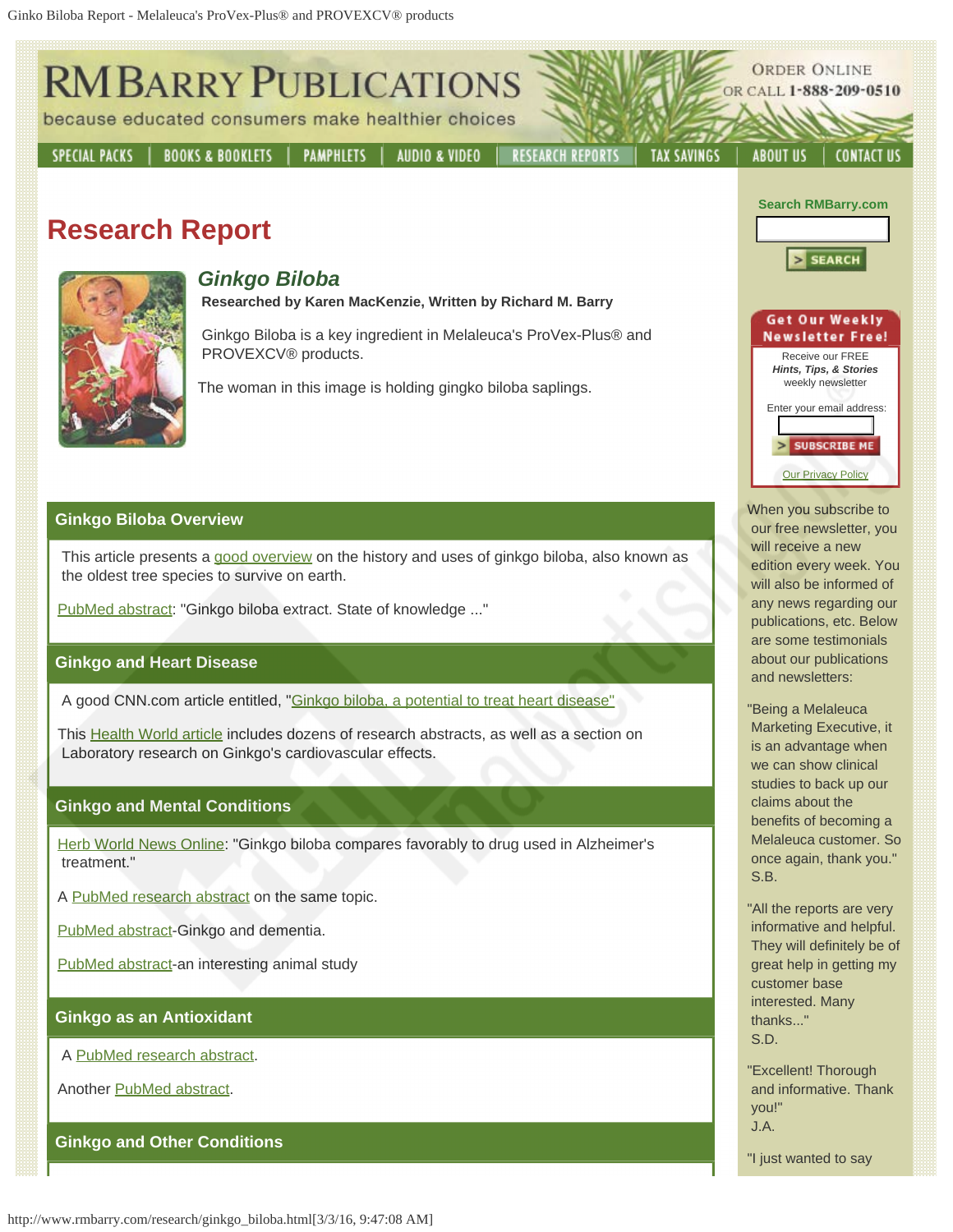

 customer base interested. Many thanks..." S.D.

"Excellent! Thorough and informative. Thank

"I just wanted to say

 you!" J.A.

## **Ginkgo as an Antioxidant**

A [PubMed research abstract](http://www.ncbi.nlm.nih.gov/entrez/query.fcgi?cmd=Retrieve&db=PubMed&list_uids=10678500&dopt=Abstract).

Another [PubMed abstract.](http://www.ncbi.nlm.nih.gov/entrez/query.fcgi?cmd=Retrieve&db=PubMed&list_uids=10190193&dopt=Abstract)

**Ginkgo and Other Conditions**